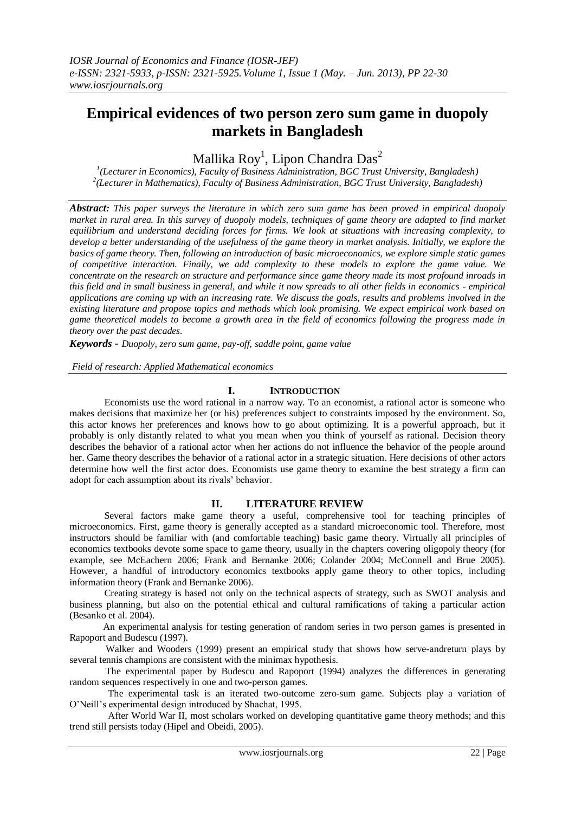# **Empirical evidences of two person zero sum game in duopoly markets in Bangladesh**

Mallika  ${\rm Roy}^1$ , Lipon Chandra Das $^2$ 

*1 (Lecturer in Economics), Faculty of Business Administration, BGC Trust University, Bangladesh) 2 (Lecturer in Mathematics), Faculty of Business Administration, BGC Trust University, Bangladesh)* 

*Abstract: This paper surveys the literature in which zero sum game has been proved in empirical duopoly market in rural area. In this survey of duopoly models, techniques of game theory are adapted to find market equilibrium and understand deciding forces for firms. We look at situations with increasing complexity, to develop a better understanding of the usefulness of the game theory in market analysis. Initially, we explore the basics of game theory. Then, following an introduction of basic microeconomics, we explore simple static games of competitive interaction. Finally, we add complexity to these models to explore the game value. We concentrate on the research on structure and performance since game theory made its most profound inroads in this field and in small business in general, and while it now spreads to all other fields in economics - empirical applications are coming up with an increasing rate. We discuss the goals, results and problems involved in the existing literature and propose topics and methods which look promising. We expect empirical work based on game theoretical models to become a growth area in the field of economics following the progress made in theory over the past decades.*

*Keywords* - *Duopoly, zero sum game, pay-off, saddle point, game value*

*Field of research: Applied Mathematical economics*

## **I. INTRODUCTION**

Economists use the word rational in a narrow way. To an economist, a rational actor is someone who makes decisions that maximize her (or his) preferences subject to constraints imposed by the environment. So, this actor knows her preferences and knows how to go about optimizing. It is a powerful approach, but it probably is only distantly related to what you mean when you think of yourself as rational. Decision theory describes the behavior of a rational actor when her actions do not influence the behavior of the people around her. Game theory describes the behavior of a rational actor in a strategic situation. Here decisions of other actors determine how well the first actor does. Economists use game theory to examine the best strategy a firm can adopt for each assumption about its rivals' behavior.

#### **II. LITERATURE REVIEW**

Several factors make game theory a useful, comprehensive tool for teaching principles of microeconomics. First, game theory is generally accepted as a standard microeconomic tool. Therefore, most instructors should be familiar with (and comfortable teaching) basic game theory. Virtually all principles of economics textbooks devote some space to game theory, usually in the chapters covering oligopoly theory (for example, see McEachern 2006; Frank and Bernanke 2006; Colander 2004; McConnell and Brue 2005). However, a handful of introductory economics textbooks apply game theory to other topics, including information theory (Frank and Bernanke 2006).

Creating strategy is based not only on the technical aspects of strategy, such as SWOT analysis and business planning, but also on the potential ethical and cultural ramifications of taking a particular action (Besanko et al. 2004).

 An experimental analysis for testing generation of random series in two person games is presented in Rapoport and Budescu (1997).

Walker and Wooders (1999) present an empirical study that shows how serve-andreturn plays by several tennis champions are consistent with the minimax hypothesis.

 The experimental paper by Budescu and Rapoport (1994) analyzes the differences in generating random sequences respectively in one and two-person games.

 The experimental task is an iterated two-outcome zero-sum game. Subjects play a variation of O'Neill's experimental design introduced by Shachat, 1995.

 After World War II, most scholars worked on developing quantitative game theory methods; and this trend still persists today (Hipel and Obeidi, 2005).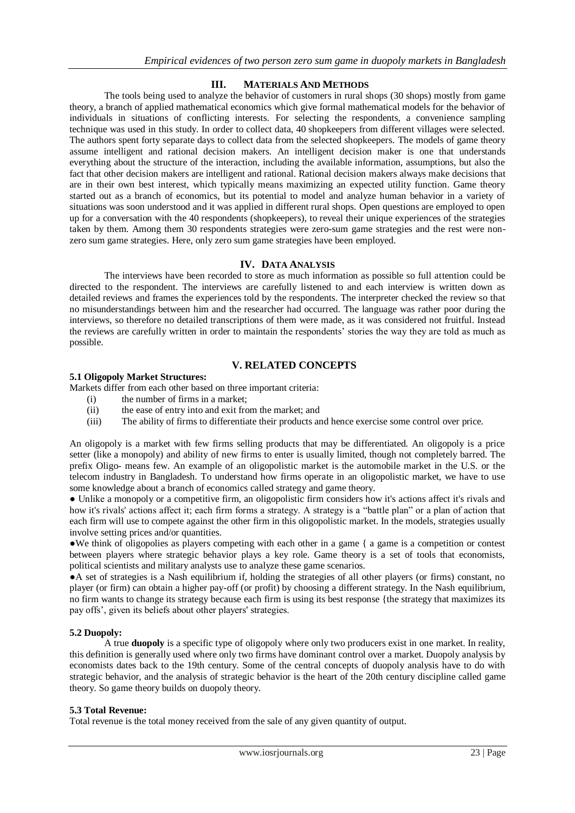# **III. MATERIALS AND METHODS**

The tools being used to analyze the behavior of customers in rural shops (30 shops) mostly from game theory, a branch of applied mathematical economics which give formal mathematical models for the behavior of individuals in situations of conflicting interests. For selecting the respondents, a convenience sampling technique was used in this study. In order to collect data, 40 shopkeepers from different villages were selected. The authors spent forty separate days to collect data from the selected shopkeepers. The models of game theory assume intelligent and rational decision makers. An intelligent decision maker is one that understands everything about the structure of the interaction, including the available information, assumptions, but also the fact that other decision makers are intelligent and rational. Rational decision makers always make decisions that are in their own best interest, which typically means maximizing an expected utility function. Game theory started out as a branch of economics, but its potential to model and analyze human behavior in a variety of situations was soon understood and it was applied in different rural shops. Open questions are employed to open up for a conversation with the 40 respondents (shopkeepers), to reveal their unique experiences of the strategies taken by them. Among them 30 respondents strategies were zero-sum game strategies and the rest were nonzero sum game strategies. Here, only zero sum game strategies have been employed.

## **IV. DATA ANALYSIS**

The interviews have been recorded to store as much information as possible so full attention could be directed to the respondent. The interviews are carefully listened to and each interview is written down as detailed reviews and frames the experiences told by the respondents. The interpreter checked the review so that no misunderstandings between him and the researcher had occurred. The language was rather poor during the interviews, so therefore no detailed transcriptions of them were made, as it was considered not fruitful. Instead the reviews are carefully written in order to maintain the respondents' stories the way they are told as much as possible.

# **V. RELATED CONCEPTS**

# **5.1 Oligopoly Market Structures:**

Markets differ from each other based on three important criteria:

- (i) the number of firms in a market;<br>(ii) the ease of entry into and exit from
- the ease of entry into and exit from the market; and
- (iii) The ability of firms to differentiate their products and hence exercise some control over price.

An oligopoly is a market with few firms selling products that may be differentiated. An oligopoly is a price setter (like a monopoly) and ability of new firms to enter is usually limited, though not completely barred. The prefix Oligo- means few. An example of an oligopolistic market is the automobile market in the U.S. or the telecom industry in Bangladesh. To understand how firms operate in an oligopolistic market, we have to use some knowledge about a branch of economics called strategy and game theory.

● Unlike a monopoly or a competitive firm, an oligopolistic firm considers how it's actions affect it's rivals and how it's rivals' actions affect it; each firm forms a strategy. A strategy is a "battle plan" or a plan of action that each firm will use to compete against the other firm in this oligopolistic market. In the models, strategies usually involve setting prices and/or quantities.

●We think of oligopolies as players competing with each other in a game { a game is a competition or contest between players where strategic behavior plays a key role. Game theory is a set of tools that economists, political scientists and military analysts use to analyze these game scenarios.

●A set of strategies is a Nash equilibrium if, holding the strategies of all other players (or firms) constant, no player (or firm) can obtain a higher pay-off (or profit) by choosing a different strategy. In the Nash equilibrium, no firm wants to change its strategy because each firm is using its best response {the strategy that maximizes its pay offs', given its beliefs about other players' strategies.

#### **5.2 Duopoly:**

A true **duopoly** is a specific type of [oligopoly](http://en.wikipedia.org/wiki/Oligopoly) where only two producers exist in one [market.](http://en.wikipedia.org/wiki/Market) In reality, this definition is generally used where only two firms have dominant control over a [market.](http://en.wikipedia.org/wiki/Market) Duopoly analysis by economists dates back to the 19th century. Some of the central concepts of duopoly analysis have to do with strategic behavior, and the analysis of strategic behavior is the heart of the 20th century discipline called game theory. So game theory builds on duopoly theory.

#### **5.3 Total Revenue:**

Total revenue is the total money received from the sale of any given quantity of output.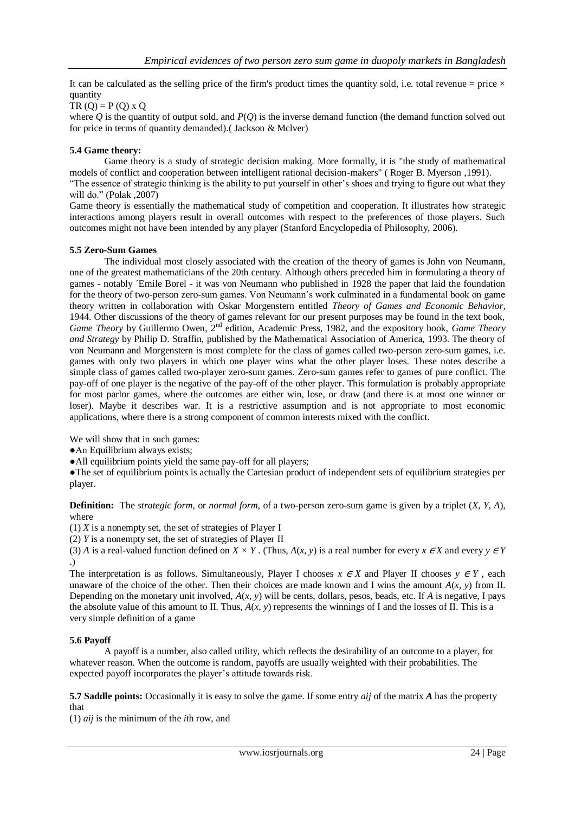It can be calculated as the selling price of the firm's product times the quantity sold, i.e. total revenue = price  $\times$ quantity

 $TR (O) = P (O) \times O$ 

where *Q* is the quantity of output sold, and *P*(*Q*) is the inverse demand function (the demand function solved out for price in terms of quantity demanded).( Jackson & Mclver)

#### **5.4 Game theory:**

Game theory is a study of strategic [decision making.](http://en.wikipedia.org/wiki/Decision_making) More formally, it is "the study of [mathematical](http://en.wikipedia.org/wiki/Mathematical_model)  [models](http://en.wikipedia.org/wiki/Mathematical_model) of conflict and cooperation between intelligent rational decision-makers" ( [Roger B. Myerson](http://en.wikipedia.org/wiki/Roger_B._Myerson) ,1991). "The essence of strategic thinking is the ability to put yourself in other's shoes and trying to figure out what they will do." (Polak ,2007)

Game theory is essentially the mathematical study of competition and cooperation. It illustrates how strategic interactions among players result in overall outcomes with respect to the preferences of those players. Such outcomes might not have been intended by any player (Stanford Encyclopedia of Philosophy, 2006).

#### **5.5 Zero-Sum Games**

The individual most closely associated with the creation of the theory of games is John von Neumann, one of the greatest mathematicians of the 20th century. Although others preceded him in formulating a theory of games - notably ´Emile Borel - it was von Neumann who published in 1928 the paper that laid the foundation for the theory of two-person zero-sum games. Von Neumann's work culminated in a fundamental book on game theory written in collaboration with Oskar Morgenstern entitled *Theory of Games and Economic Behavior*, 1944. Other discussions of the theory of games relevant for our present purposes may be found in the text book, *Game Theory* by Guillermo Owen, 2<sup>nd</sup> edition, Academic Press, 1982, and the expository book, *Game Theory and Strategy* by Philip D. Straffin, published by the Mathematical Association of America, 1993. The theory of von Neumann and Morgenstern is most complete for the class of games called two-person zero-sum games, i.e. games with only two players in which one player wins what the other player loses. These notes describe a simple class of games called two-player zero-sum games. Zero-sum games refer to games of pure conflict. The pay-off of one player is the negative of the pay-off of the other player. This formulation is probably appropriate for most parlor games, where the outcomes are either win, lose, or draw (and there is at most one winner or loser). Maybe it describes war. It is a restrictive assumption and is not appropriate to most economic applications, where there is a strong component of common interests mixed with the conflict.

We will show that in such games:

●An Equilibrium always exists;

●All equilibrium points yield the same pay-off for all players;

●The set of equilibrium points is actually the Cartesian product of independent sets of equilibrium strategies per player.

**Definition:** The *strategic form*, or *normal form*, of a two-person zero-sum game is given by a triplet (*X, Y, A*), where

(1) *X* is a nonempty set, the set of strategies of Player I

(2) *Y* is a nonempty set, the set of strategies of Player II

(3) *A* is a real-valued function defined on *X* × *Y*. (Thus, *A*(*x*, *y*) is a real number for every *x* ∈*X* and every *y* ∈ *Y* .)

The interpretation is as follows. Simultaneously, Player I chooses *x* <sup>∈</sup> *X* and Player II chooses *y* <sup>∈</sup> *Y* , each unaware of the choice of the other. Then their choices are made known and I wins the amount  $A(x, y)$  from II. Depending on the monetary unit involved,  $A(x, y)$  will be cents, dollars, pesos, beads, etc. If *A* is negative, I pays the absolute value of this amount to II. Thus,  $A(x, y)$  represents the winnings of I and the losses of II. This is a very simple definition of a game

#### **5.6 Payoff**

A payoff is a number, also called utility, which reflects the desirability of an outcome to a player, for whatever reason. When the outcome is random, payoffs are usually weighted with their probabilities. The expected payoff incorporates the player's attitude towards risk.

**5.7 Saddle points:** Occasionally it is easy to solve the game. If some entry *aij* of the matrix *A* has the property that

(1) *aij* is the minimum of the *i*th row, and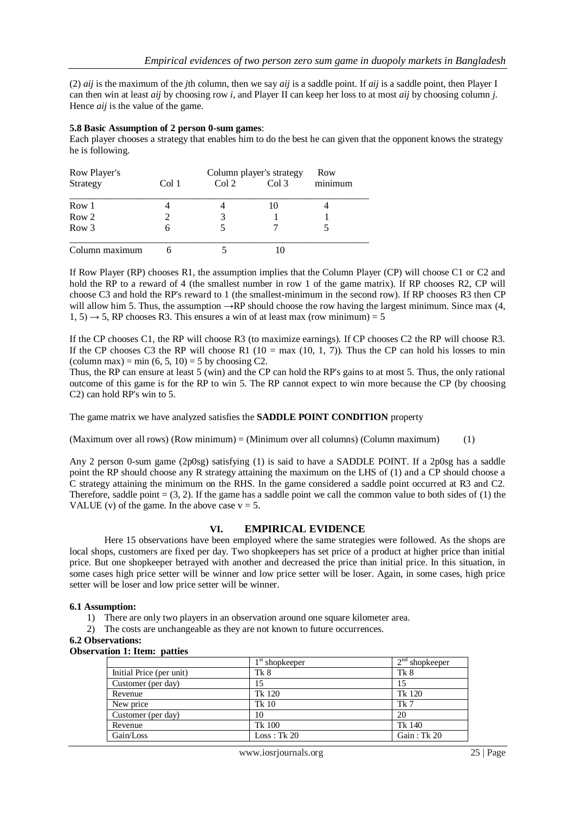(2) *aij* is the maximum of the *j*th column, then we say *aij* is a saddle point. If *aij* is a saddle point, then Player I can then win at least *aij* by choosing row *i*, and Player II can keep her loss to at most *aij* by choosing column *j*. Hence *aij* is the value of the game.

### **5.8 Basic Assumption of 2 person 0-sum games**:

Each player chooses a strategy that enables him to do the best he can given that the opponent knows the strategy he is following.

| Row Player's   |       | Column player's strategy |                  | Row     |
|----------------|-------|--------------------------|------------------|---------|
| Strategy       | Col 1 | Col 2                    | Col <sub>3</sub> | minimum |
| Row 1          |       |                          | 10               |         |
| Row 2          |       |                          |                  |         |
| Row 3          | O     |                          |                  |         |
| Column maximum |       |                          |                  |         |

If Row Player (RP) chooses R1, the assumption implies that the Column Player (CP) will choose C1 or C2 and hold the RP to a reward of 4 (the smallest number in row 1 of the game matrix). If RP chooses R2, CP will choose C3 and hold the RP's reward to 1 (the smallest-minimum in the second row). If RP chooses R3 then CP will allow him 5. Thus, the assumption  $\rightarrow$ RP should choose the row having the largest minimum. Since max (4,  $1, 5) \rightarrow 5$ , RP chooses R3. This ensures a win of at least max (row minimum) = 5

If the CP chooses C1, the RP will choose R3 (to maximize earnings). If CP chooses C2 the RP will choose R3. If the CP chooses C3 the RP will choose R1 (10 = max (10, 1, 7)). Thus the CP can hold his losses to min (column max) = min  $(6, 5, 10) = 5$  by choosing C2.

Thus, the RP can ensure at least 5 (win) and the CP can hold the RP's gains to at most 5. Thus, the only rational outcome of this game is for the RP to win 5. The RP cannot expect to win more because the CP (by choosing C2) can hold RP's win to 5.

The game matrix we have analyzed satisfies the **SADDLE POINT CONDITION** property

 $(Maximum over all rows) (Row minimum) = (Minimum over all columns) (Column maximum)$  (1)

Any 2 person 0-sum game (2p0sg) satisfying (1) is said to have a SADDLE POINT. If a 2p0sg has a saddle point the RP should choose any R strategy attaining the maximum on the LHS of (1) and a CP should choose a C strategy attaining the minimum on the RHS. In the game considered a saddle point occurred at R3 and C2. Therefore, saddle point  $=(3, 2)$ . If the game has a saddle point we call the common value to both sides of (1) the VALUE (v) of the game. In the above case  $v = 5$ .

# **VI. EMPIRICAL EVIDENCE**

Here 15 observations have been employed where the same strategies were followed. As the shops are local shops, customers are fixed per day. Two shopkeepers has set price of a product at higher price than initial price. But one shopkeeper betrayed with another and decreased the price than initial price. In this situation, in some cases high price setter will be winner and low price setter will be loser. Again, in some cases, high price setter will be loser and low price setter will be winner.

#### **6.1 Assumption:**

- 1) There are only two players in an observation around one square kilometer area.
- 2) The costs are unchangeable as they are not known to future occurrences.

# **6.2 Observations:**

|  | <b>Observation 1: Item: patties</b> |  |  |
|--|-------------------------------------|--|--|
|--|-------------------------------------|--|--|

|                          | $1st$ shopkeeper | $2nd$ shopkeeper |
|--------------------------|------------------|------------------|
| Initial Price (per unit) | Tk 8             | Tk 8             |
| Customer (per day)       | 15               | 15               |
| Revenue                  | Tk 120           | Tk 120           |
| New price                | <b>Tk 10</b>     | Tk 7             |
| Customer (per day)       | 10               | 20               |
| Revenue                  | Tk 100           | Tk 140           |
| Gain/Loss                | Loss: Tk 20      | Gain: Tk 20      |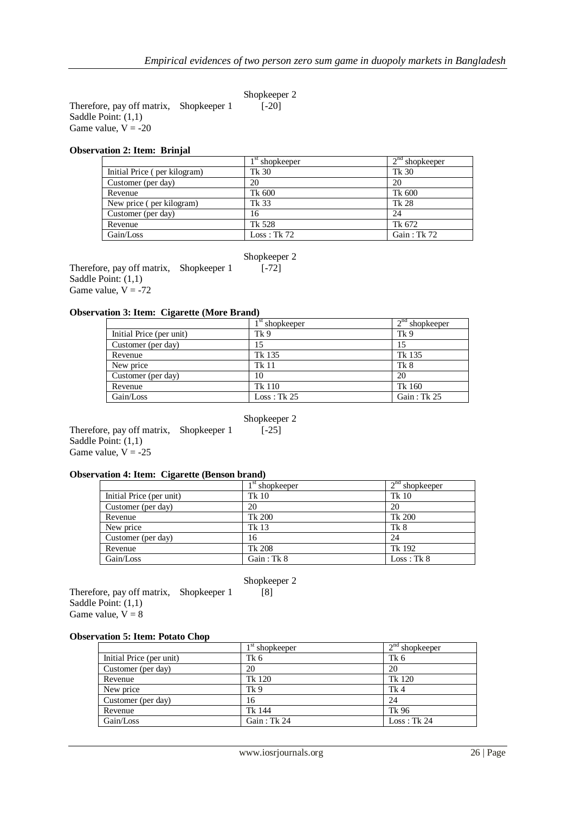Therefore, pay off matrix, Shopkeeper 1 [-20] Saddle Point: (1,1) Game value,  $V = -20$ 

#### **Observation 2: Item: Brinjal**

|                              | $1st$ shopkeeper | $2nd$ shopkeeper |
|------------------------------|------------------|------------------|
| Initial Price (per kilogram) | Tk 30            | Tk 30            |
| Customer (per day)           | 20               | 20               |
| Revenue                      | Tk 600           | Tk 600           |
| New price (per kilogram)     | Tk 33            | Tk 28            |
| Customer (per day)           | 16               | 24               |
| Revenue                      | Tk 528           | Tk 672           |
| Gain/Loss                    | Loss: Tk 72      | Gain : Tk 72     |

Shopkeeper 2

Therefore, pay off matrix, Shopkeeper 1 [-72] Saddle Point: (1,1) Game value,  $V = -72$ 

# **Observation 3: Item: Cigarette (More Brand)**

|                          | $1st$ shopkeeper | $2nd$ shopkeeper |
|--------------------------|------------------|------------------|
| Initial Price (per unit) | Tk <sub>9</sub>  | Tk <sub>9</sub>  |
| Customer (per day)       | 15               |                  |
| Revenue                  | Tk 135           | Tk 135           |
| New price                | Tk 11            | Tk 8             |
| Customer (per day)       | 10               | 20               |
| Revenue                  | Tk 110           | Tk 160           |
| Gain/Loss                | Loss: Tk 25      | Gain: $Tk 25$    |

Shopkeeper 2

Therefore, pay off matrix, Shopkeeper 1  $[-25]$ Saddle Point: (1,1) Game value,  $V = -25$ 

## **Observation 4: Item: Cigarette (Benson brand)**

|                          | $1st$ shopkeeper | $2nd$ shopkeeper |
|--------------------------|------------------|------------------|
| Initial Price (per unit) | <b>Tk 10</b>     | Tk 10            |
| Customer (per day)       | 20               | 20               |
| Revenue                  | Tk 200           | Tk 200           |
| New price                | Tk 13            | Tk 8             |
| Customer (per day)       | 16               | 24               |
| Revenue                  | Tk 208           | Tk 192           |
| Gain/Loss                | Gain: Tk 8       | Loss: Tk 8       |

Shopkeeper 2

Therefore, pay off matrix, Shopkeeper 1 [8] Saddle Point: (1,1) Game value,  $V = 8$ 

## **Observation 5: Item: Potato Chop**

|                          | $1st$ shopkeeper | $2nd$ shopkeeper |
|--------------------------|------------------|------------------|
| Initial Price (per unit) | Tk 6             | Tk 6             |
| Customer (per day)       | 20               | 20               |
| Revenue                  | Tk 120           | Tk 120           |
| New price                | Tk <sub>9</sub>  | Tk 4             |
| Customer (per day)       | 16               | 24               |
| Revenue                  | Tk 144           | Tk 96            |
| Gain/Loss                | Gain : Tk 24     | Loss: Tk 24      |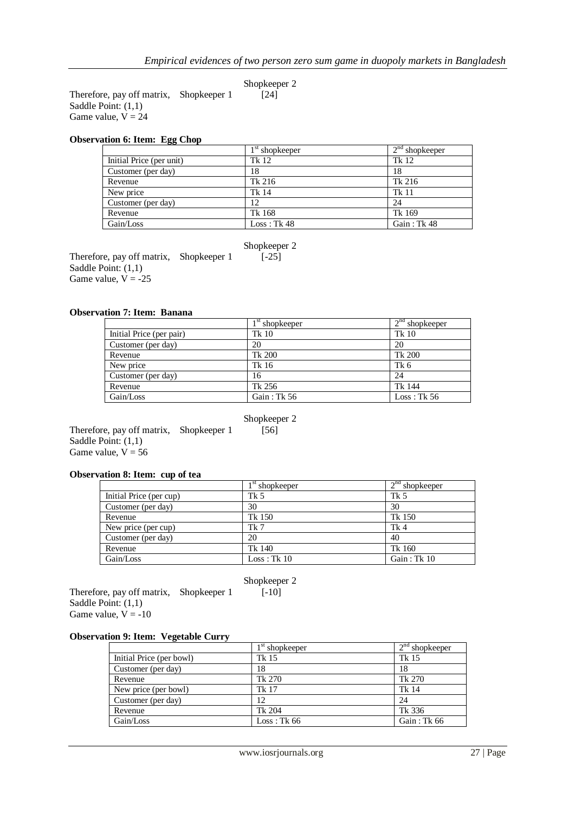Therefore, pay off matrix, Shopkeeper 1 [24] Saddle Point: (1,1) Game value,  $V = 24$ 

#### **Observation 6: Item: Egg Chop**

|                          | $1st$ shopkeeper | $2nd$ shopkeeper |
|--------------------------|------------------|------------------|
| Initial Price (per unit) | Tk 12            | Tk 12            |
| Customer (per day)       | 18               | 18               |
| Revenue                  | Tk 216           | Tk 216           |
| New price                | Tk 14            | <b>Tk 11</b>     |
| Customer (per day)       | 12               | 24               |
| Revenue                  | Tk 168           | Tk 169           |
| Gain/Loss                | Loss: Tk 48      | Gain: Tk 48      |

Shopkeeper 2

Therefore, pay off matrix, Shopkeeper 1 [-25] Saddle Point: (1,1) Game value,  $V = -25$ 

# **Observation 7: Item: Banana**

|                          | $1st$ shopkeeper | $2nd$ shopkeeper |
|--------------------------|------------------|------------------|
| Initial Price (per pair) | Tk 10            | Tk 10            |
| Customer (per day)       | 20               | 20               |
| Revenue                  | Tk 200           | Tk 200           |
| New price                | Tk 16            | Tk 6             |
| Customer (per day)       | 16               | 24               |
| Revenue                  | Tk 256           | Tk 144           |
| Gain/Loss                | Gain : Tk 56     | Loss: Tk 56      |

#### Shopkeeper 2

Therefore, pay off matrix, Shopkeeper 1  $\begin{bmatrix} 56 \end{bmatrix}$ Saddle Point: (1,1) Game value,  $V = 56$ 

## **Observation 8: Item: cup of tea**

|                         | $1st$ shopkeeper | $2nd$ shopkeeper |
|-------------------------|------------------|------------------|
| Initial Price (per cup) | Tk 5             | Tk 5             |
| Customer (per day)      | 30               | 30               |
| Revenue                 | Tk 150           | Tk 150           |
| New price (per cup)     | Tk 7             | Tk4              |
| Customer (per day)      | 20               | 40               |
| Revenue                 | Tk 140           | Tk 160           |
| Gain/Loss               | Loss: Tk 10      | Gain : Tk 10     |

Shopkeeper 2

Therefore, pay off matrix, Shopkeeper  $1$  [-10] Saddle Point: (1,1) Game value,  $V = -10$ 

#### **Observation 9: Item: Vegetable Curry**

|                          | $1st$ shopkeeper | $2nd$ shopkeeper |
|--------------------------|------------------|------------------|
| Initial Price (per bowl) | Tk 15            | Tk 15            |
| Customer (per day)       | 18               | 18               |
| Revenue                  | Tk 270           | Tk 270           |
| New price (per bowl)     | Tk 17            | Tk 14            |
| Customer (per day)       | 12               | 24               |
| Revenue                  | Tk 204           | Tk 336           |
| Gain/Loss                | Loss: Tk 66      | Gain : Tk 66     |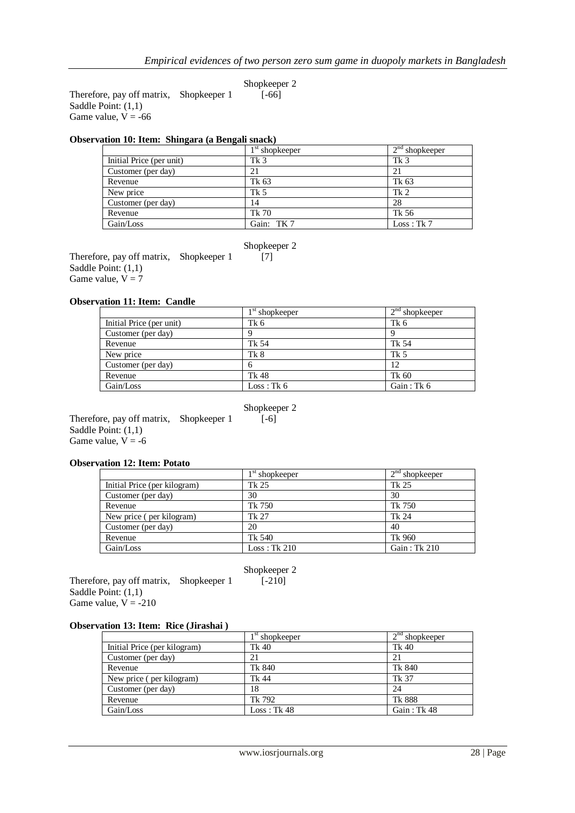Therefore, pay off matrix, Shopkeeper 1 [-66] Saddle Point: (1,1) Game value,  $V = -66$ 

# **Observation 10: Item: Shingara (a Bengali snack)**

|                          | $1st$ shopkeeper | $2nd$ shopkeeper |
|--------------------------|------------------|------------------|
| Initial Price (per unit) | Tk <sub>3</sub>  | Tk <sub>3</sub>  |
| Customer (per day)       | 21               | 21               |
| Revenue                  | Tk 63            | Tk 63            |
| New price                | Tk 5             | Tk <sub>2</sub>  |
| Customer (per day)       | 14               | 28               |
| Revenue                  | Tk 70            | Tk 56            |
| Gain/Loss                | Gain: TK 7       | Loss: Tk 7       |

### Shopkeeper 2

Therefore, pay off matrix, Shopkeeper 1 [7] Saddle Point: (1,1) Game value,  $V = 7$ 

# **Observation 11: Item: Candle**

|                          | $1st$ shopkeeper | $2nd$ shopkeeper |
|--------------------------|------------------|------------------|
| Initial Price (per unit) | Tk 6             | Tk 6             |
| Customer (per day)       |                  |                  |
| Revenue                  | Tk 54            | Tk 54            |
| New price                | Tk 8             | Tk 5             |
| Customer (per day)       |                  | 12               |
| Revenue                  | Tk 48            | Tk 60            |
| Gain/Loss                | Loss: Tk 6       | Gain : Tk 6      |

# Shopkeeper 2

Therefore, pay off matrix, Shopkeeper 1  $[-6]$ Saddle Point: (1,1) Game value,  $V = -6$ 

#### **Observation 12: Item: Potato**

|                              | $1st$ shopkeeper | $2nd$ shopkeeper |
|------------------------------|------------------|------------------|
| Initial Price (per kilogram) | Tk 25            | Tk 25            |
| Customer (per day)           | 30               | 30               |
| Revenue                      | Tk 750           | Tk 750           |
| New price (per kilogram)     | Tk 27            | Tk 24            |
| Customer (per day)           | 20               | 40               |
| Revenue                      | Tk 540           | Tk 960           |
| Gain/Loss                    | Loss: Tk 210     | Gain: Tk 210     |

 Shopkeeper 2 Therefore, pay off matrix, Shopkeeper 1 [-210] Saddle Point: (1,1) Game value,  $V = -210$ 

# **Observation 13: Item: Rice (Jirashai )**

|                              | $1st$ shopkeeper | $2nd$ shopkeeper |
|------------------------------|------------------|------------------|
| Initial Price (per kilogram) | Tk 40            | Tk 40            |
| Customer (per day)           | 21               | 21               |
| Revenue                      | Tk 840           | Tk 840           |
| New price (per kilogram)     | Tk 44            | Tk 37            |
| Customer (per day)           | 18               | 24               |
| Revenue                      | Tk 792           | Tk 888           |
| Gain/Loss                    | Loss: Tk 48      | Gain: Tk 48      |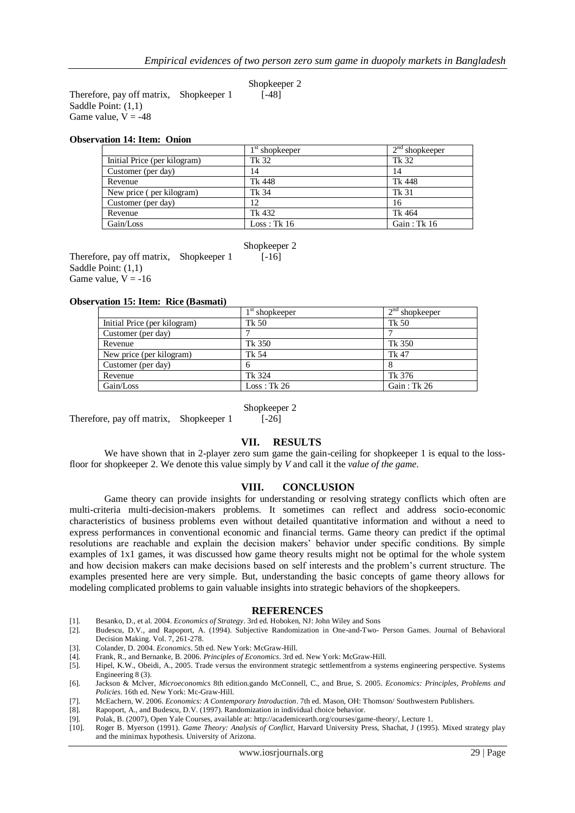Therefore, pay off matrix, Shopkeeper 1 [-48] Saddle Point: (1,1) Game value,  $V = -48$ 

#### **Observation 14: Item: Onion**

|                              | $1st$ shopkeeper | $2nd$ shopkeeper |
|------------------------------|------------------|------------------|
| Initial Price (per kilogram) | Tk 32            | Tk 32            |
| Customer (per day)           | 14               | 14               |
| Revenue                      | Tk 448           | Tk 448           |
| New price (per kilogram)     | Tk 34            | Tk 31            |
| Customer (per day)           | 12               | 16               |
| Revenue                      | Tk 432           | Tk 464           |
| Gain/Loss                    | Loss: Tk 16      | Gain: $Tk 16$    |

Shopkeeper 2

Therefore, pay off matrix, Shopkeeper 1 [-16] Saddle Point: (1,1) Game value,  $V = -16$ 

#### **Observation 15: Item: Rice (Basmati)**

|                              | $1st$ shopkeeper | $2nd$ shopkeeper |
|------------------------------|------------------|------------------|
| Initial Price (per kilogram) | Tk 50            | Tk 50            |
| Customer (per day)           |                  |                  |
| Revenue                      | Tk 350           | Tk 350           |
| New price (per kilogram)     | Tk 54            | Tk 47            |
| Customer (per day)           | h                |                  |
| Revenue                      | Tk 324           | Tk 376           |
| Gain/Loss                    | Loss: Tk 26      | Gain : Tk 26     |

Shopkeeper 2

Therefore, pay off matrix, Shopkeeper 1 [-26]

#### **VII. RESULTS**

We have shown that in 2-player zero sum game the gain-ceiling for shopkeeper 1 is equal to the lossfloor for shopkeeper 2. We denote this value simply by *V* and call it the *value of the game*.

#### **VIII. CONCLUSION**

Game theory can provide insights for understanding or resolving strategy conflicts which often are multi-criteria multi-decision-makers problems. It sometimes can reflect and address socio-economic characteristics of business problems even without detailed quantitative information and without a need to express performances in conventional economic and financial terms. Game theory can predict if the optimal resolutions are reachable and explain the decision makers' behavior under specific conditions. By simple examples of 1x1 games, it was discussed how game theory results might not be optimal for the whole system and how decision makers can make decisions based on self interests and the problem's current structure. The examples presented here are very simple. But, understanding the basic concepts of game theory allows for modeling complicated problems to gain valuable insights into strategic behaviors of the shopkeepers.

#### **REFERENCES**

- [1]. Besanko, D., et al. 2004. *Economics of Strategy*. 3rd ed. Hoboken, NJ: John Wiley and Sons
- [2]. Budescu, D.V., and Rapoport, A. (1994). Subjective Randomization in One-and-Two- Person Games. Journal of Behavioral Decision Making. Vol. 7, 261-278.
- [3]. Colander, D. 2004. *Economics*. 5th ed. New York: McGraw-Hill.
- [4]. Frank, R., and Bernanke, B. 2006. *Principles of Economics*. 3rd ed. New York: McGraw-Hill.
- [5]. Hipel, K.W., Obeidi, A., 2005. Trade versus the environment strategic settlementfrom a systems engineering perspective. Systems Engineering 8 (3).
- [6]. Jackson & Mclver, *Microeconomics* 8th edition.gando McConnell, C., and Brue, S. 2005. *Economics: Principles, Problems and Policies*. 16th ed. New York: Mc-Graw-Hill.
- [7]. McEachern, W. 2006. *Economics: A Contemporary Introduction*. 7th ed. Mason, OH: Thomson/ Southwestern Publishers.
- [8]. Rapoport, A., and Budescu, D.V. (1997). Randomization in individual choice behavior.
- [9]. Polak, B. (2007), Open Yale Courses, available at: http://academicearth.org/courses/game-theory/, Lecture 1.
- [10]. [Roger B. Myerson](http://en.wikipedia.org/wiki/Roger_B._Myerson) (1991). *Game Theory: Analysis of Conflict,* Harvard University Press, Shachat, J (1995). Mixed strategy play and the minimax hypothesis. University of Arizona.